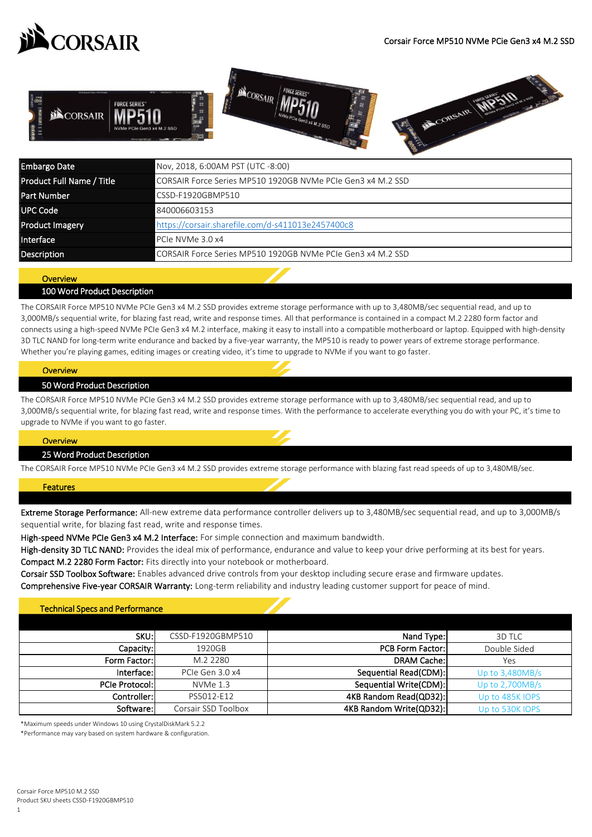



| Embargo Date              | Nov, 2018, 6:00AM PST (UTC -8:00)                           |  |
|---------------------------|-------------------------------------------------------------|--|
| Product Full Name / Title | CORSAIR Force Series MP510 1920GB NVMe PCIe Gen3 x4 M.2 SSD |  |
| <b>Part Number</b>        | CSSD-F1920GBMP510                                           |  |
| <b>UPC Code</b>           | 840006603153                                                |  |
| <b>Product Imagery</b>    | https://corsair.sharefile.com/d-s411013e2457400c8           |  |
| Interface                 | PCIe NVMe 3.0 x4                                            |  |
| Description               | CORSAIR Force Series MP510 1920GB NVMe PCIe Gen3 x4 M.2 SSD |  |

# **Overview**

## 100 Word Product Description

The CORSAIR Force MP510 NVMe PCIe Gen3 x4 M.2 SSD provides extreme storage performance with up to 3,480MB/sec sequential read, and up to 3,000MB/s sequential write, for blazing fast read, write and response times. All that performance is contained in a compact M.2 2280 form factor and connects using a high-speed NVMe PCIe Gen3 x4 M.2 interface, making it easy to install into a compatible motherboard or laptop. Equipped with high-density 3D TLC NAND for long-term write endurance and backed by a five-year warranty, the MP510 is ready to power years of extreme storage performance. Whether you're playing games, editing images or creating video, it's time to upgrade to NVMe if you want to go faster.

#### <u>overview</u> **Overview**

#### 50 Word Product Description

The CORSAIR Force MP510 NVMe PCIe Gen3 x4 M.2 SSD provides extreme storage performance with up to 3,480MB/sec sequential read, and up to 3,000MB/s sequential write, for blazing fast read, write and response times. With the performance to accelerate everything you do with your PC, it's time to upgrade to NVMe if you want to go faster.

#### **Overview**

#### 25 Word Product Description

The CORSAIR Force MP510 NVMe PCIe Gen3 x4 M.2 SSD provides extreme storage performance with blazing fast read speeds of up to 3,480MB/sec.

## Features

Extreme Storage Performance: All-new extreme data performance controller delivers up to 3,480MB/sec sequential read, and up to 3,000MB/s sequential write, for blazing fast read, write and response times.

High-speed NVMe PCIe Gen3 x4 M.2 Interface: For simple connection and maximum bandwidth.

Compact M.2 2280 Form Factor: Fits directly into your notebook or motherboard. High-density 3D TLC NAND: Provides the ideal mix of performance, endurance and value to keep your drive performing at its best for years.

Comprehensive Five-year CORSAIR Warranty: Long-term reliability and industry leading customer support for peace of mind. Corsair SSD Toolbox Software: Enables advanced drive controls from your desktop including secure erase and firmware updates.

# Technical Specs and Performance

| SKU:l                 | CSSD-F1920GBMP510   | Nand Type:              | 3D TLC            |
|-----------------------|---------------------|-------------------------|-------------------|
| Capacity:             | 1920GB              | <b>PCB Form Factor:</b> | Double Sided      |
| Form Factor:          | M.2 2280            | <b>DRAM Cache:</b>      | Yes               |
| Interface:            | PCIe Gen 3.0 x4     | Sequential Read(CDM):   | Up to $3,480MB/s$ |
| <b>PCIe Protocol:</b> | $NVMe$ 1.3          | Sequential Write(CDM):  | Up to $2,700MB/s$ |
| Controller: l         | PS5012-E12          | 4KB Random Read(QD32):  | Up to 485K IOPS   |
| Software:             | Corsair SSD Toolbox | 4KB Random Write(QD32): | Up to 530K IOPS   |

\*Maximum speeds under Windows 10 using CrystalDiskMark 5.2.2

\*Performance may vary based on system hardware & configuration.